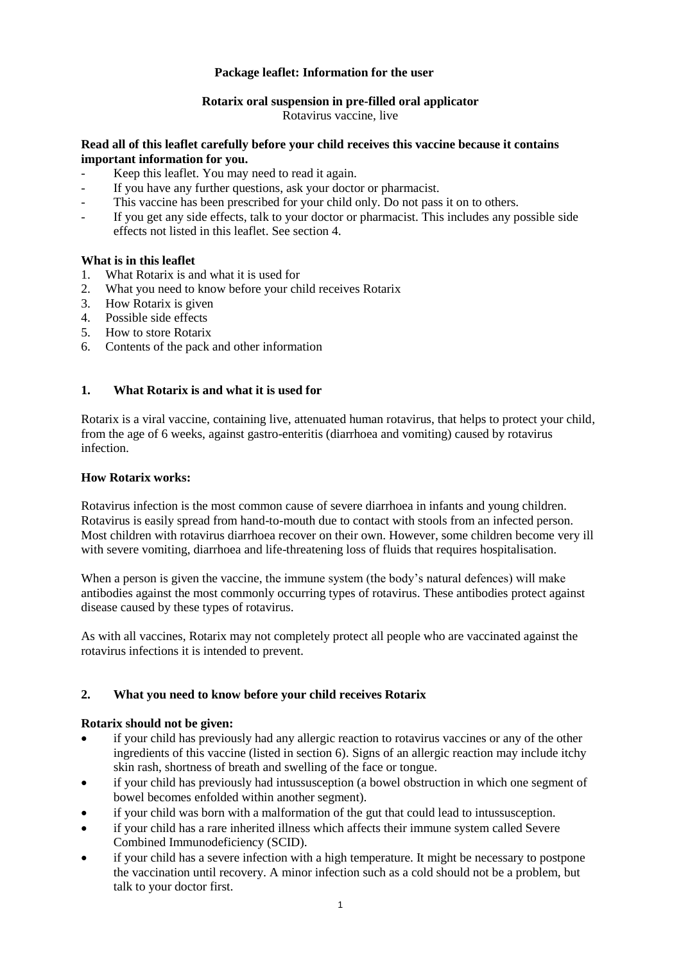# **Package leaflet: Information for the user**

# **Rotarix oral suspension in pre-filled oral applicator**

Rotavirus vaccine, live

### **Read all of this leaflet carefully before your child receives this vaccine because it contains important information for you.**

- Keep this leaflet. You may need to read it again.
- If you have any further questions, ask your doctor or pharmacist.
- This vaccine has been prescribed for your child only. Do not pass it on to others.
- If you get any side effects, talk to your doctor or pharmacist. This includes any possible side effects not listed in this leaflet. See section 4.

## **What is in this leaflet**

- 1. What Rotarix is and what it is used for
- 2. What you need to know before your child receives Rotarix
- 3. How Rotarix is given
- 4. Possible side effects
- 5. How to store Rotarix
- 6. Contents of the pack and other information

## **1. What Rotarix is and what it is used for**

Rotarix is a viral vaccine, containing live, attenuated human rotavirus, that helps to protect your child, from the age of 6 weeks, against gastro-enteritis (diarrhoea and vomiting) caused by rotavirus infection.

### **How Rotarix works:**

Rotavirus infection is the most common cause of severe diarrhoea in infants and young children. Rotavirus is easily spread from hand-to-mouth due to contact with stools from an infected person. Most children with rotavirus diarrhoea recover on their own. However, some children become very ill with severe vomiting, diarrhoea and life-threatening loss of fluids that requires hospitalisation.

When a person is given the vaccine, the immune system (the body's natural defences) will make antibodies against the most commonly occurring types of rotavirus. These antibodies protect against disease caused by these types of rotavirus.

As with all vaccines, Rotarix may not completely protect all people who are vaccinated against the rotavirus infections it is intended to prevent.

# **2. What you need to know before your child receives Rotarix**

### **Rotarix should not be given:**

- if your child has previously had any allergic reaction to rotavirus vaccines or any of the other ingredients of this vaccine (listed in section 6). Signs of an allergic reaction may include itchy skin rash, shortness of breath and swelling of the face or tongue.
- if your child has previously had intussusception (a bowel obstruction in which one segment of bowel becomes enfolded within another segment).
- if your child was born with a malformation of the gut that could lead to intussusception.
- if your child has a rare inherited illness which affects their immune system called Severe Combined Immunodeficiency (SCID).
- if your child has a severe infection with a high temperature. It might be necessary to postpone the vaccination until recovery. A minor infection such as a cold should not be a problem, but talk to your doctor first.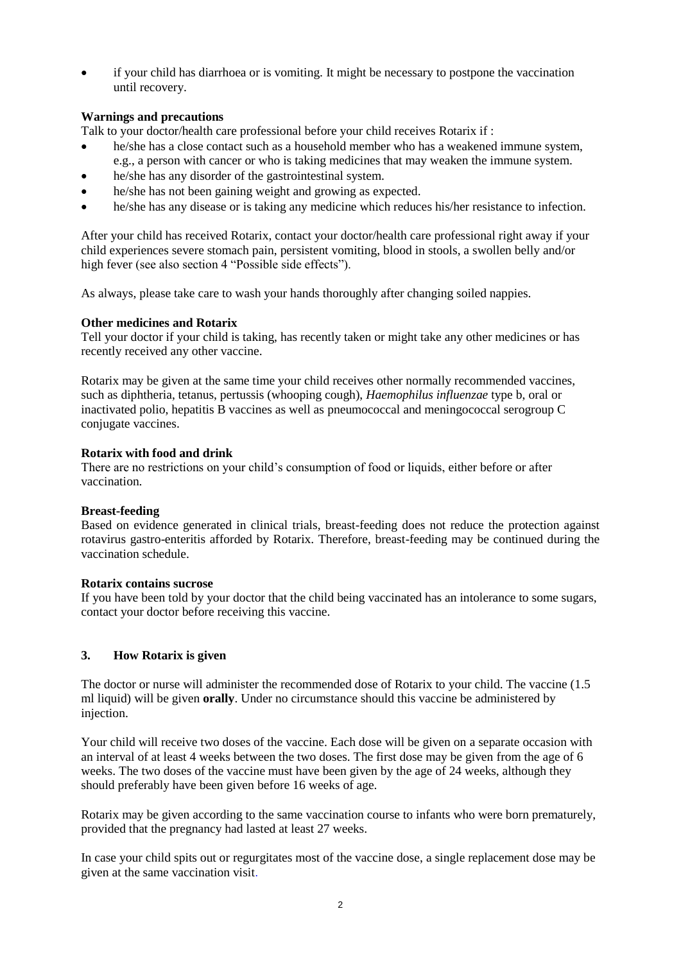if your child has diarrhoea or is vomiting. It might be necessary to postpone the vaccination until recovery.

# **Warnings and precautions**

Talk to your doctor/health care professional before your child receives Rotarix if :

- he/she has a close contact such as a household member who has a weakened immune system,
- e.g., a person with cancer or who is taking medicines that may weaken the immune system.
- he/she has any disorder of the gastrointestinal system.
- he/she has not been gaining weight and growing as expected.
- he/she has any disease or is taking any medicine which reduces his/her resistance to infection.

After your child has received Rotarix, contact your doctor/health care professional right away if your child experiences severe stomach pain, persistent vomiting, blood in stools, a swollen belly and/or high fever (see also section 4 "Possible side effects").

As always, please take care to wash your hands thoroughly after changing soiled nappies.

### **Other medicines and Rotarix**

Tell your doctor if your child is taking, has recently taken or might take any other medicines or has recently received any other vaccine.

Rotarix may be given at the same time your child receives other normally recommended vaccines, such as diphtheria, tetanus, pertussis (whooping cough), *Haemophilus influenzae* type b, oral or inactivated polio, hepatitis B vaccines as well as pneumococcal and meningococcal serogroup C conjugate vaccines.

### **Rotarix with food and drink**

There are no restrictions on your child's consumption of food or liquids, either before or after vaccination.

### **Breast-feeding**

Based on evidence generated in clinical trials, breast-feeding does not reduce the protection against rotavirus gastro-enteritis afforded by Rotarix. Therefore, breast-feeding may be continued during the vaccination schedule.

#### **Rotarix contains sucrose**

If you have been told by your doctor that the child being vaccinated has an intolerance to some sugars, contact your doctor before receiving this vaccine.

### **3. How Rotarix is given**

The doctor or nurse will administer the recommended dose of Rotarix to your child. The vaccine (1.5 ml liquid) will be given **orally**. Under no circumstance should this vaccine be administered by injection.

Your child will receive two doses of the vaccine. Each dose will be given on a separate occasion with an interval of at least 4 weeks between the two doses. The first dose may be given from the age of 6 weeks. The two doses of the vaccine must have been given by the age of 24 weeks, although they should preferably have been given before 16 weeks of age.

Rotarix may be given according to the same vaccination course to infants who were born prematurely, provided that the pregnancy had lasted at least 27 weeks.

In case your child spits out or regurgitates most of the vaccine dose, a single replacement dose may be given at the same vaccination visit.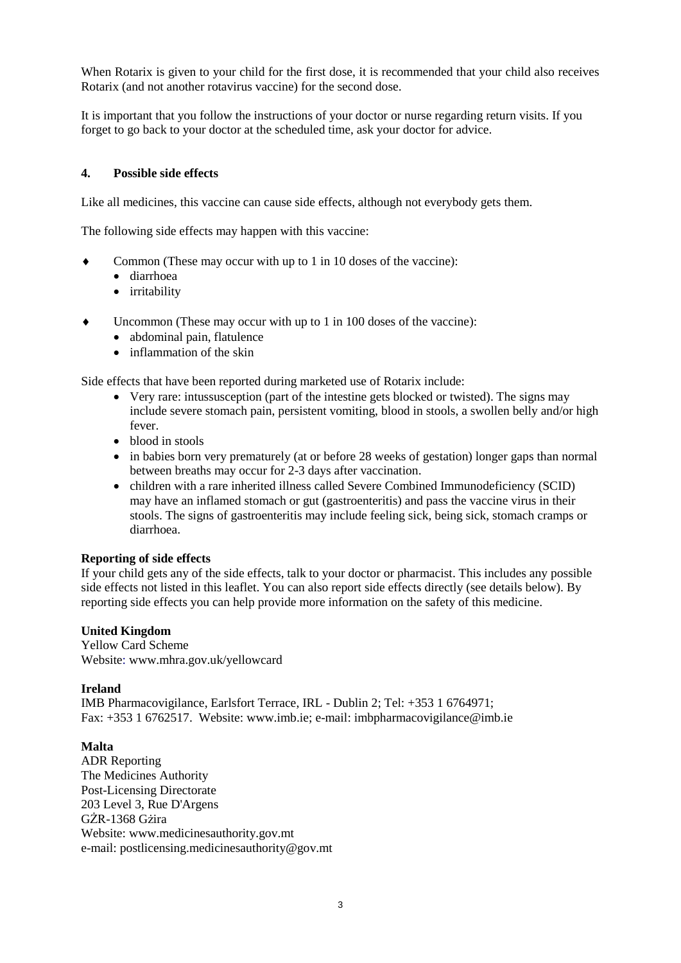When Rotarix is given to your child for the first dose, it is recommended that your child also receives Rotarix (and not another rotavirus vaccine) for the second dose.

It is important that you follow the instructions of your doctor or nurse regarding return visits. If you forget to go back to your doctor at the scheduled time, ask your doctor for advice.

## **4. Possible side effects**

Like all medicines, this vaccine can cause side effects, although not everybody gets them.

The following side effects may happen with this vaccine:

- Common (These may occur with up to 1 in 10 doses of the vaccine):
	- diarrhoea
	- irritability
- Uncommon (These may occur with up to 1 in 100 doses of the vaccine):
	- abdominal pain, flatulence
	- inflammation of the skin

Side effects that have been reported during marketed use of Rotarix include:

- Very rare: intussusception (part of the intestine gets blocked or twisted). The signs may include severe stomach pain, persistent vomiting, blood in stools, a swollen belly and/or high fever.
- blood in stools
- in babies born very prematurely (at or before 28 weeks of gestation) longer gaps than normal between breaths may occur for 2-3 days after vaccination.
- children with a rare inherited illness called Severe Combined Immunodeficiency (SCID) may have an inflamed stomach or gut (gastroenteritis) and pass the vaccine virus in their stools. The signs of gastroenteritis may include feeling sick, being sick, stomach cramps or diarrhoea.

### **Reporting of side effects**

If your child gets any of the side effects, talk to your doctor or pharmacist. This includes any possible side effects not listed in this leaflet. You can also report side effects directly (see details below). By reporting side effects you can help provide more information on the safety of this medicine.

### **United Kingdom**

Yellow Card Scheme Website: www.mhra.gov.uk/yellowcard

### **Ireland**

IMB Pharmacovigilance, Earlsfort Terrace, IRL - Dublin 2; Tel: +353 1 6764971; Fax: +353 1 6762517. Website: www.imb.ie; e-mail: imbpharmacovigilance@imb.ie

### **Malta**

ADR Reporting The Medicines Authority Post-Licensing Directorate 203 Level 3, Rue D'Argens GŻR-1368 Gżira Website: www.medicinesauthority.gov.mt e-mail: postlicensing.medicinesauthority@gov.mt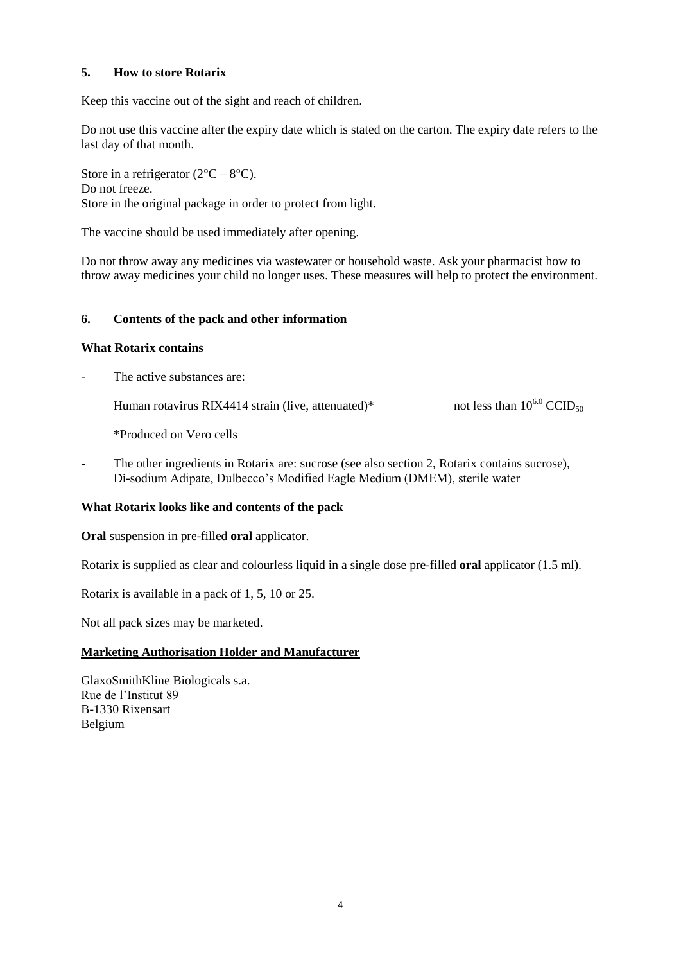# **5. How to store Rotarix**

Keep this vaccine out of the sight and reach of children.

Do not use this vaccine after the expiry date which is stated on the carton. The expiry date refers to the last day of that month.

Store in a refrigerator  $(2^{\circ}C - 8^{\circ}C)$ . Do not freeze. Store in the original package in order to protect from light.

The vaccine should be used immediately after opening.

Do not throw away any medicines via wastewater or household waste. Ask your pharmacist how to throw away medicines your child no longer uses. These measures will help to protect the environment.

# **6. Contents of the pack and other information**

### **What Rotarix contains**

The active substances are:

Human rotavirus RIX4414 strain (live, attenuated)\* not less than  $10^{6.0}$  CCID<sub>50</sub>

\*Produced on Vero cells

The other ingredients in Rotarix are: sucrose (see also section 2, Rotarix contains sucrose), Di-sodium Adipate, Dulbecco's Modified Eagle Medium (DMEM), sterile water

### **What Rotarix looks like and contents of the pack**

**Oral** suspension in pre-filled **oral** applicator.

Rotarix is supplied as clear and colourless liquid in a single dose pre-filled **oral** applicator (1.5 ml).

Rotarix is available in a pack of 1, 5, 10 or 25.

Not all pack sizes may be marketed.

### **Marketing Authorisation Holder and Manufacturer**

GlaxoSmithKline Biologicals s.a. Rue de l'Institut 89 B-1330 Rixensart Belgium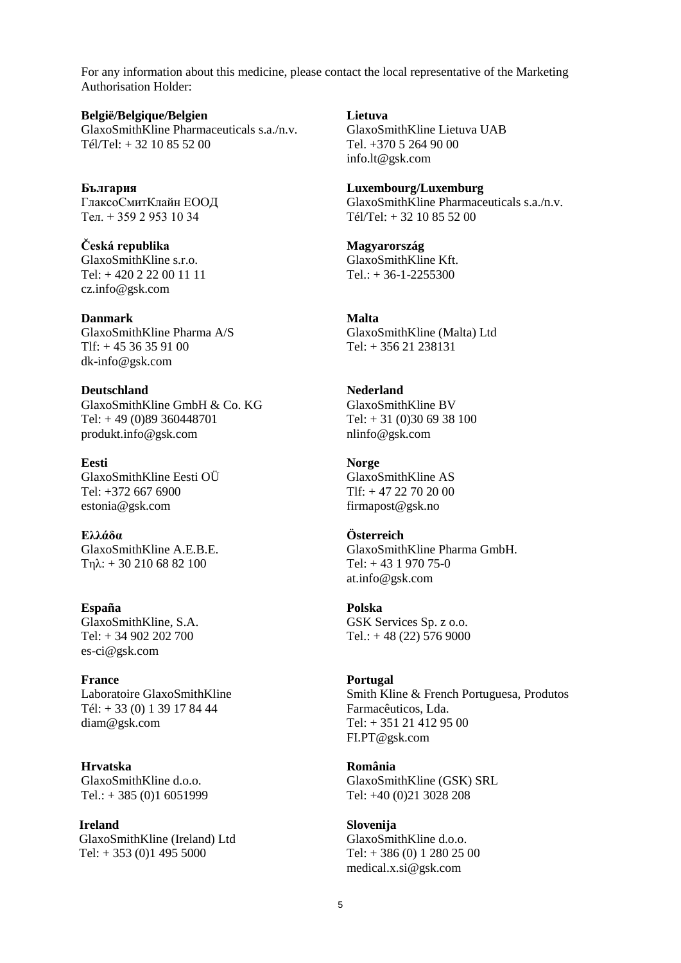For any information about this medicine, please contact the local representative of the Marketing Authorisation Holder:

**België/Belgique/Belgien** GlaxoSmithKline Pharmaceuticals s.a./n.v. Tél/Tel: + 32 10 85 52 00

**България** ГлаксоСмитКлайн ЕООД Тел. + 359 2 953 10 34

**Česká republika** GlaxoSmithKline s.r.o. Tel: + 420 2 22 00 11 11 cz.info@gsk.com

**Danmark** GlaxoSmithKline Pharma A/S  $T$ If:  $+ 4536359100$ dk-info@gsk.com

**Deutschland** GlaxoSmithKline GmbH & Co. KG Tel: + 49 (0)89 360448701 produkt.info@gsk.com

**Eesti** GlaxoSmithKline Eesti OÜ Tel: +372 667 6900 estonia@gsk.com

**Ελλάδα** GlaxoSmithKline A.E.B.E. Tηλ: + 30 210 68 82 100

**España** GlaxoSmithKline, S.A. Tel: + 34 902 202 700 es-ci@gsk.com

**France** Laboratoire GlaxoSmithKline Tél: + 33 (0) 1 39 17 84 44 diam@gsk.com

**Hrvatska** GlaxoSmithKline d.o.o. Tel.:  $+ 385 (0)1 6051999$ 

**Ireland** GlaxoSmithKline (Ireland) Ltd Tel:  $+ 353 (0)1 495 5000$ 

**Lietuva**

GlaxoSmithKline Lietuva UAB Tel. +370 5 264 90 00 info.lt@gsk.com

**Luxembourg/Luxemburg** GlaxoSmithKline Pharmaceuticals s.a./n.v. Tél/Tel: + 32 10 85 52 00

**Magyarország** GlaxoSmithKline Kft.  $Tel.: + 36-1-2255300$ 

**Malta** GlaxoSmithKline (Malta) Ltd Tel: + 356 21 238131

**Nederland** GlaxoSmithKline BV Tel: + 31 (0)30 69 38 100 nlinfo@gsk.com

**Norge** GlaxoSmithKline AS Tlf: + 47 22 70 20 00 firmapost@gsk.no

**Österreich** GlaxoSmithKline Pharma GmbH. Tel:  $+43$  1 970 75-0 at.info@gsk.com

**Polska** GSK Services Sp. z o.o. Tel.:  $+48(22)$  576 9000

**Portugal** Smith Kline & French Portuguesa, Produtos Farmacêuticos, Lda. Tel: + 351 21 412 95 00 FI.PT@gsk.com

**România** GlaxoSmithKline (GSK) SRL Tel: +40 (0)21 3028 208

**Slovenija** GlaxoSmithKline d.o.o. Tel: + 386 (0) 1 280 25 00 medical.x.si@gsk.com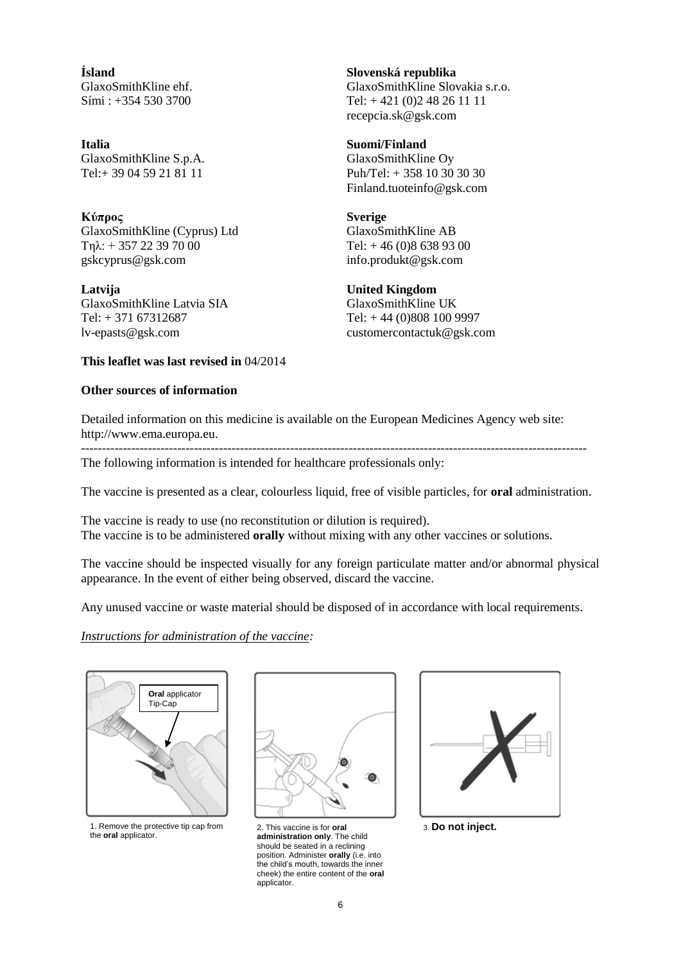**Ísland** GlaxoSmithKline ehf. Sími : +354 530 3700

**Italia** GlaxoSmithKline S.p.A. Tel:+ 39 04 59 21 81 11

**Κύπρος** GlaxoSmithKline (Cyprus) Ltd Τηλ: + 357 22 39 70 00 gskcyprus@gsk.com

**Latvija** GlaxoSmithKline Latvia SIA Tel: + 371 67312687 lv-epasts@gsk.com

**Slovenská republika** GlaxoSmithKline Slovakia s.r.o. Tel: + 421 (0)2 48 26 11 11 recepcia.sk@gsk.com

**Suomi/Finland** GlaxoSmithKline Oy Puh/Tel: + 358 10 30 30 30 Finland.tuoteinfo@gsk.com

**Sverige** GlaxoSmithKline AB Tel: + 46 (0)8 638 93 00 info.produkt@gsk.com

### **United Kingdom**

GlaxoSmithKline UK Tel: + 44 (0)808 100 9997 customercontactuk@gsk.com

#### **This leaflet was last revised in** 04/2014

#### **Other sources of information**

Detailed information on this medicine is available on the European Medicines Agency web site: http://www.ema.europa.eu.

-------------------------------------------------------------------------------------------------------------------------

The following information is intended for healthcare professionals only:

The vaccine is presented as a clear, colourless liquid, free of visible particles, for **oral** administration.

The vaccine is ready to use (no reconstitution or dilution is required). The vaccine is to be administered **orally** without mixing with any other vaccines or solutions.

The vaccine should be inspected visually for any foreign particulate matter and/or abnormal physical appearance. In the event of either being observed, discard the vaccine.

Any unused vaccine or waste material should be disposed of in accordance with local requirements.

*Instructions for administration of the vaccine:*



1. Remove the protective tip cap from the **oral** applicator.



2. This vaccine is for **oral administration only**. The child should be seated in a reclining position. Administer **orally** (i.e. into the child's mouth, towards the inner cheek) the entire content of the **oral** applicator.



3. **Do not inject.**